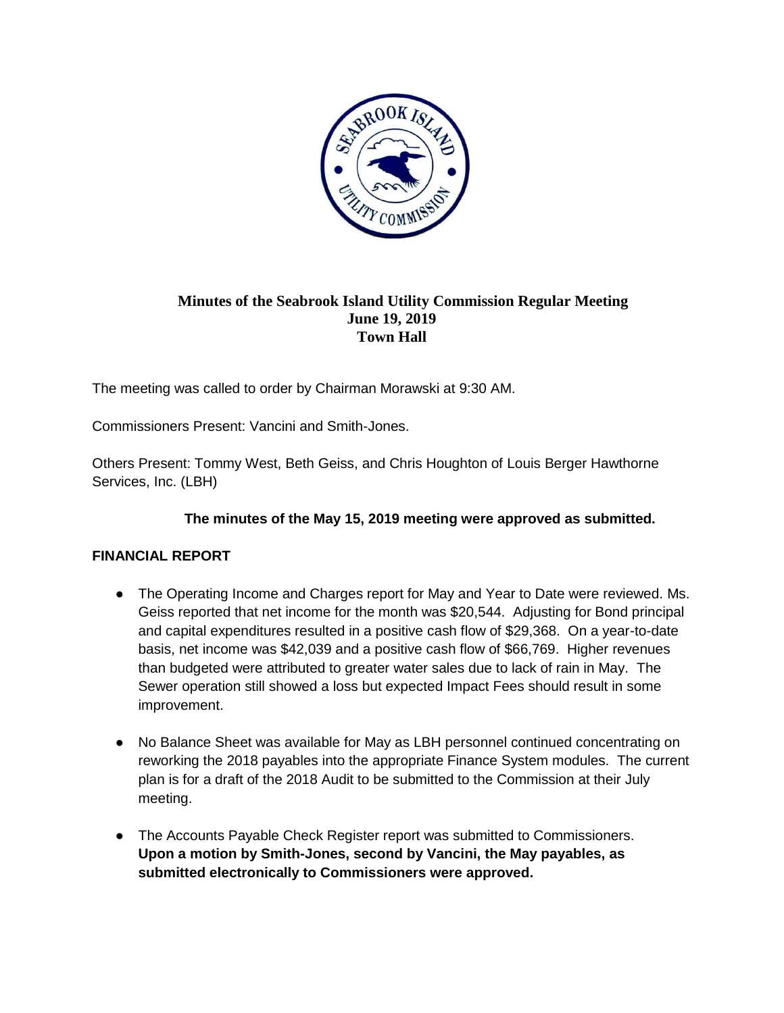

## **Minutes of the Seabrook Island Utility Commission Regular Meeting June 19, 2019 Town Hall**

The meeting was called to order by Chairman Morawski at 9:30 AM.

Commissioners Present: Vancini and Smith-Jones.

Others Present: Tommy West, Beth Geiss, and Chris Houghton of Louis Berger Hawthorne Services, Inc. (LBH)

## **The minutes of the May 15, 2019 meeting were approved as submitted.**

## **FINANCIAL REPORT**

- The Operating Income and Charges report for May and Year to Date were reviewed. Ms. Geiss reported that net income for the month was \$20,544. Adjusting for Bond principal and capital expenditures resulted in a positive cash flow of \$29,368. On a year-to-date basis, net income was \$42,039 and a positive cash flow of \$66,769. Higher revenues than budgeted were attributed to greater water sales due to lack of rain in May. The Sewer operation still showed a loss but expected Impact Fees should result in some improvement.
- No Balance Sheet was available for May as LBH personnel continued concentrating on reworking the 2018 payables into the appropriate Finance System modules. The current plan is for a draft of the 2018 Audit to be submitted to the Commission at their July meeting.
- The Accounts Payable Check Register report was submitted to Commissioners. **Upon a motion by Smith-Jones, second by Vancini, the May payables, as submitted electronically to Commissioners were approved.**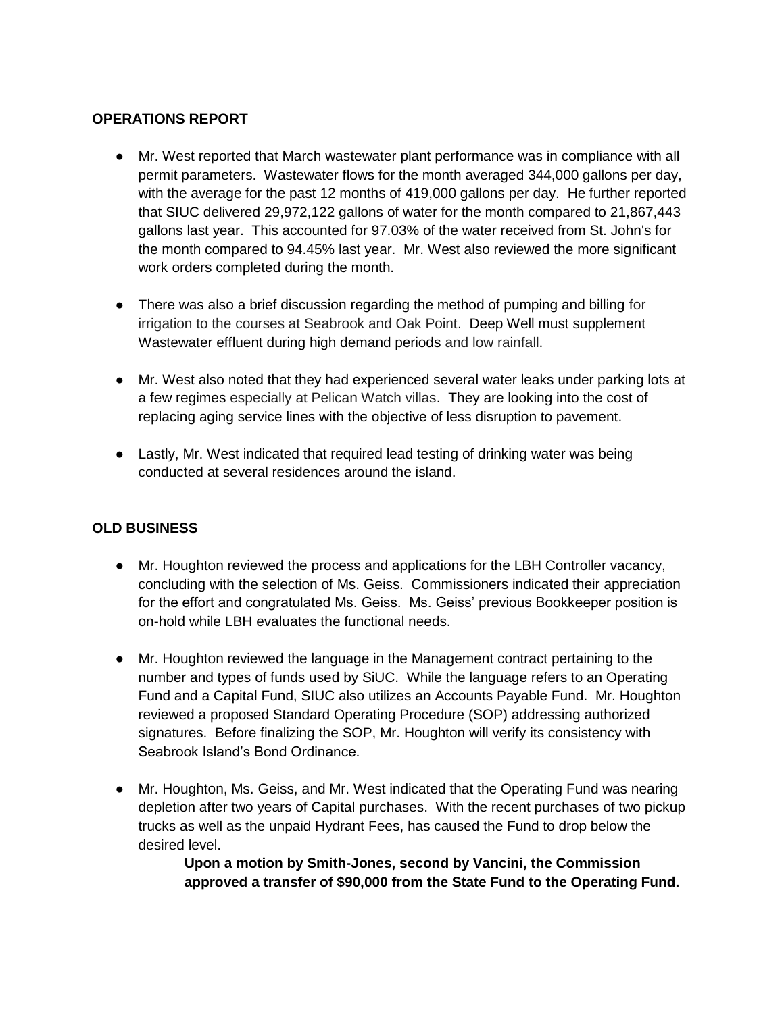#### **OPERATIONS REPORT**

- Mr. West reported that March wastewater plant performance was in compliance with all permit parameters. Wastewater flows for the month averaged 344,000 gallons per day, with the average for the past 12 months of 419,000 gallons per day. He further reported that SIUC delivered 29,972,122 gallons of water for the month compared to 21,867,443 gallons last year. This accounted for 97.03% of the water received from St. John's for the month compared to 94.45% last year. Mr. West also reviewed the more significant work orders completed during the month.
- There was also a brief discussion regarding the method of pumping and billing for irrigation to the courses at Seabrook and Oak Point. Deep Well must supplement Wastewater effluent during high demand periods and low rainfall.
- Mr. West also noted that they had experienced several water leaks under parking lots at a few regimes especially at Pelican Watch villas. They are looking into the cost of replacing aging service lines with the objective of less disruption to pavement.
- Lastly, Mr. West indicated that required lead testing of drinking water was being conducted at several residences around the island.

#### **OLD BUSINESS**

- Mr. Houghton reviewed the process and applications for the LBH Controller vacancy, concluding with the selection of Ms. Geiss. Commissioners indicated their appreciation for the effort and congratulated Ms. Geiss. Ms. Geiss' previous Bookkeeper position is on-hold while LBH evaluates the functional needs.
- Mr. Houghton reviewed the language in the Management contract pertaining to the number and types of funds used by SiUC. While the language refers to an Operating Fund and a Capital Fund, SIUC also utilizes an Accounts Payable Fund. Mr. Houghton reviewed a proposed Standard Operating Procedure (SOP) addressing authorized signatures. Before finalizing the SOP, Mr. Houghton will verify its consistency with Seabrook Island's Bond Ordinance.
- Mr. Houghton, Ms. Geiss, and Mr. West indicated that the Operating Fund was nearing depletion after two years of Capital purchases. With the recent purchases of two pickup trucks as well as the unpaid Hydrant Fees, has caused the Fund to drop below the desired level.

**Upon a motion by Smith-Jones, second by Vancini, the Commission approved a transfer of \$90,000 from the State Fund to the Operating Fund.**